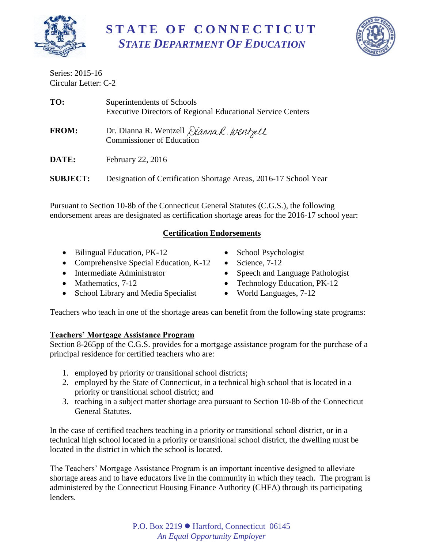

**S T A T E O F C O N N E C T I C U T** *STATE DEPARTMENT OF EDUCATION*



Series: 2015-16 Circular Letter: C-2

| TO:             | Superintendents of Schools<br><b>Executive Directors of Regional Educational Service Centers</b> |
|-----------------|--------------------------------------------------------------------------------------------------|
| <b>FROM:</b>    | Dr. Dianna R. Wentzell <i>Dianna R. Wentzell</i><br><b>Commissioner of Education</b>             |
| DATE:           | February 22, 2016                                                                                |
| <b>SUBJECT:</b> | Designation of Certification Shortage Areas, 2016-17 School Year                                 |

Pursuant to Section 10-8b of the Connecticut General Statutes (C.G.S.), the following endorsement areas are designated as certification shortage areas for the 2016-17 school year:

# **Certification Endorsements**

- Bilingual Education, PK-12
- Comprehensive Special Education, K-12
- Intermediate Administrator
- Mathematics, 7-12
- School Library and Media Specialist
- School Psychologist
- $\bullet$  Science, 7-12
- Speech and Language Pathologist
- Technology Education, PK-12
- World Languages, 7-12

Teachers who teach in one of the shortage areas can benefit from the following state programs:

# **Teachers' Mortgage Assistance Program**

Section 8-265pp of the C.G.S. provides for a mortgage assistance program for the purchase of a principal residence for certified teachers who are:

- 1. employed by priority or transitional school districts;
- 2. employed by the State of Connecticut, in a technical high school that is located in a priority or transitional school district; and
- 3. teaching in a subject matter shortage area pursuant to Section 10-8b of the Connecticut General Statutes.

In the case of certified teachers teaching in a priority or transitional school district, or in a technical high school located in a priority or transitional school district, the dwelling must be located in the district in which the school is located.

The Teachers' Mortgage Assistance Program is an important incentive designed to alleviate shortage areas and to have educators live in the community in which they teach. The program is administered by the Connecticut Housing Finance Authority (CHFA) through its participating lenders.

> P.O. Box 2219 ● Hartford, Connecticut 06145 *An Equal Opportunity Employer*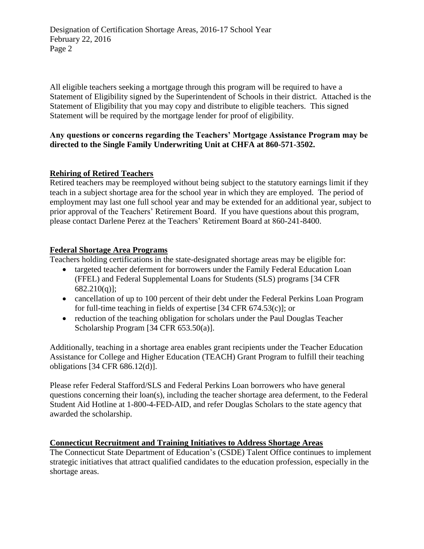Designation of Certification Shortage Areas, 2016-17 School Year February 22, 2016 Page 2

All eligible teachers seeking a mortgage through this program will be required to have a Statement of Eligibility signed by the Superintendent of Schools in their district. Attached is the Statement of Eligibility that you may copy and distribute to eligible teachers. This signed Statement will be required by the mortgage lender for proof of eligibility.

### **Any questions or concerns regarding the Teachers' Mortgage Assistance Program may be directed to the Single Family Underwriting Unit at CHFA at 860-571-3502.**

### **Rehiring of Retired Teachers**

Retired teachers may be reemployed without being subject to the statutory earnings limit if they teach in a subject shortage area for the school year in which they are employed. The period of employment may last one full school year and may be extended for an additional year, subject to prior approval of the Teachers' Retirement Board. If you have questions about this program, please contact Darlene Perez at the Teachers' Retirement Board at 860-241-8400.

## **Federal Shortage Area Programs**

Teachers holding certifications in the state-designated shortage areas may be eligible for:

- targeted teacher deferment for borrowers under the Family Federal Education Loan (FFEL) and Federal Supplemental Loans for Students (SLS) programs [34 CFR 682.210(q)];
- cancellation of up to 100 percent of their debt under the Federal Perkins Loan Program for full-time teaching in fields of expertise [34 CFR 674.53(c)]; or
- reduction of the teaching obligation for scholars under the Paul Douglas Teacher Scholarship Program [34 CFR 653.50(a)].

Additionally, teaching in a shortage area enables grant recipients under the Teacher Education Assistance for College and Higher Education (TEACH) Grant Program to fulfill their teaching obligations [34 CFR 686.12(d)].

Please refer Federal Stafford/SLS and Federal Perkins Loan borrowers who have general questions concerning their loan(s), including the teacher shortage area deferment, to the Federal Student Aid Hotline at 1-800-4-FED-AID, and refer Douglas Scholars to the state agency that awarded the scholarship.

# **Connecticut Recruitment and Training Initiatives to Address Shortage Areas**

The Connecticut State Department of Education's (CSDE) Talent Office continues to implement strategic initiatives that attract qualified candidates to the education profession, especially in the shortage areas.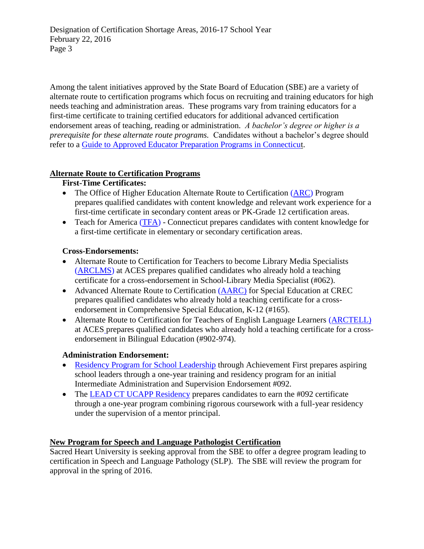Designation of Certification Shortage Areas, 2016-17 School Year February 22, 2016 Page 3

Among the talent initiatives approved by the State Board of Education (SBE) are a variety of alternate route to certification programs which focus on recruiting and training educators for high needs teaching and administration areas. These programs vary from training educators for a first-time certificate to training certified educators for additional advanced certification endorsement areas of teaching, reading or administration. *A bachelor's degree or higher is a prerequisite for these alternate route programs.* Candidates without a bachelor's degree should refer to a [Guide to Approved Educator Preparation Programs in Connecticut.](http://www.sde.ct.gov/sde/lib/sde/PDF/Cert/guides/ap_ed_prep_prgms.pdf)

## **Alternate Route to Certification Programs**

## **First-Time Certificates:**

- The Office of Higher Education Alternate Route to Certification [\(ARC\)](http://www.ctohe.org/ARC/) Program prepares qualified candidates with content knowledge and relevant work experience for a first-time certificate in secondary content areas or PK-Grade 12 certification areas.
- Teach for America [\(TFA\)](http://www.teachforamerica.org/) Connecticut prepares candidates with content knowledge for a first-time certificate in elementary or secondary certification areas.

## **Cross-Endorsements:**

- Alternate Route to Certification for Teachers to become Library Media Specialists [\(ARCLMS\)](http://www.aces.org/professional-development/arclms/overview) at ACES prepares qualified candidates who already hold a teaching certificate for a cross-endorsement in School-Library Media Specialist (#062).
- Advanced Alternate Route to Certification [\(AARC\)](http://www.crec.org/tabs/aarc/index.php) for Special Education at CREC prepares qualified candidates who already hold a teaching certificate for a crossendorsement in Comprehensive Special Education, K-12 (#165).
- Alternate Route to Certification for Teachers of English Language Learners [\(ARCTELL\)](http://www.aces.org/professional-development/arctell/overview) at ACES prepares qualified candidates who already hold a teaching certificate for a crossendorsement in Bilingual Education (#902-974).

### **Administration Endorsement:**

- [Residency Program for School Leadership](http://www.achievementfirst.org/our-approach/residency-program/) through Achievement First prepares aspiring school leaders through a one-year training and residency program for an initial Intermediate Administration and Supervision Endorsement #092.
- The [LEAD CT UCAPP Residency](http://www.leadconnecticut.org/services-programs/urban-principal-residency-092-program/) prepares candidates to earn the #092 certificate through a one-year program combining rigorous coursework with a full-year residency under the supervision of a mentor principal.

# **New Program for Speech and Language Pathologist Certification**

Sacred Heart University is seeking approval from the SBE to offer a degree program leading to certification in Speech and Language Pathology (SLP). The SBE will review the program for approval in the spring of 2016.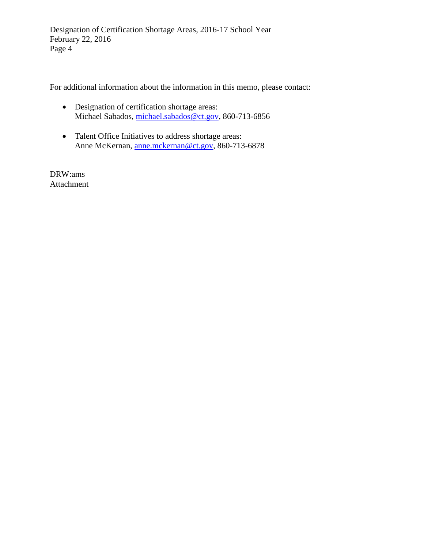Designation of Certification Shortage Areas, 2016-17 School Year February 22, 2016 Page 4

For additional information about the information in this memo, please contact:

- Designation of certification shortage areas: Michael Sabados, [michael.sabados@ct.gov,](mailto:michael.sabados@ct.gov) 860-713-6856
- Talent Office Initiatives to address shortage areas: Anne McKernan, [anne.mckernan@ct.gov,](mailto:anne.mckernan@ct.gov) 860-713-6878

DRW:ams Attachment